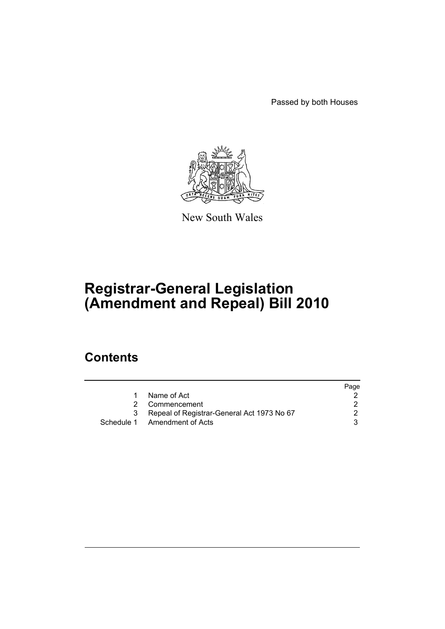Passed by both Houses



New South Wales

# **Registrar-General Legislation (Amendment and Repeal) Bill 2010**

## **Contents**

|   |                                            | Page |
|---|--------------------------------------------|------|
|   | Name of Act                                |      |
| 2 | Commencement                               |      |
| 3 | Repeal of Registrar-General Act 1973 No 67 |      |
|   | Schedule 1 Amendment of Acts               | 3    |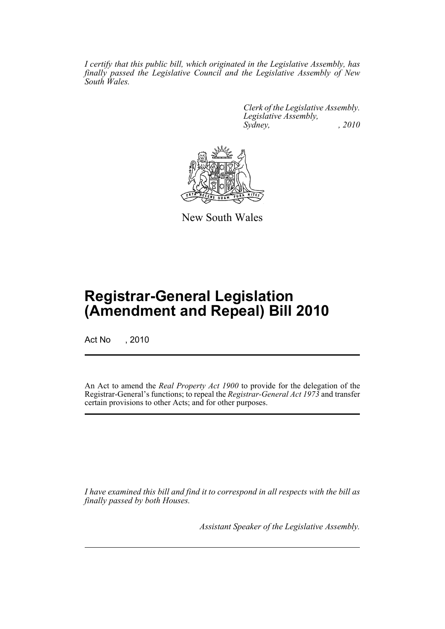*I certify that this public bill, which originated in the Legislative Assembly, has finally passed the Legislative Council and the Legislative Assembly of New South Wales.*

> *Clerk of the Legislative Assembly. Legislative Assembly, Sydney, , 2010*



New South Wales

## **Registrar-General Legislation (Amendment and Repeal) Bill 2010**

Act No , 2010

An Act to amend the *Real Property Act 1900* to provide for the delegation of the Registrar-General's functions; to repeal the *Registrar-General Act 1973* and transfer certain provisions to other Acts; and for other purposes.

*I have examined this bill and find it to correspond in all respects with the bill as finally passed by both Houses.*

*Assistant Speaker of the Legislative Assembly.*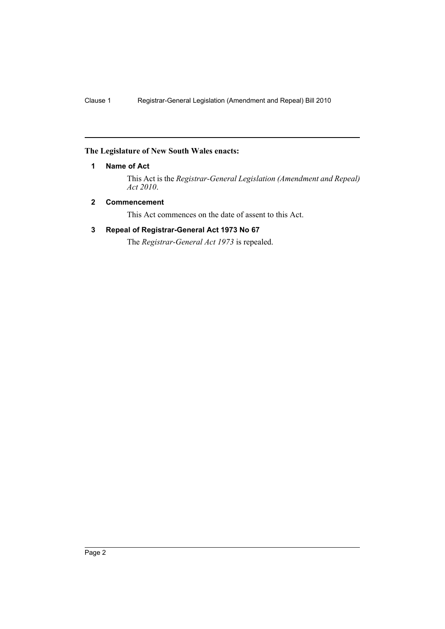#### <span id="page-2-0"></span>**The Legislature of New South Wales enacts:**

#### **1 Name of Act**

This Act is the *Registrar-General Legislation (Amendment and Repeal) Act 2010*.

#### <span id="page-2-1"></span>**2 Commencement**

This Act commences on the date of assent to this Act.

### <span id="page-2-2"></span>**3 Repeal of Registrar-General Act 1973 No 67**

The *Registrar-General Act 1973* is repealed.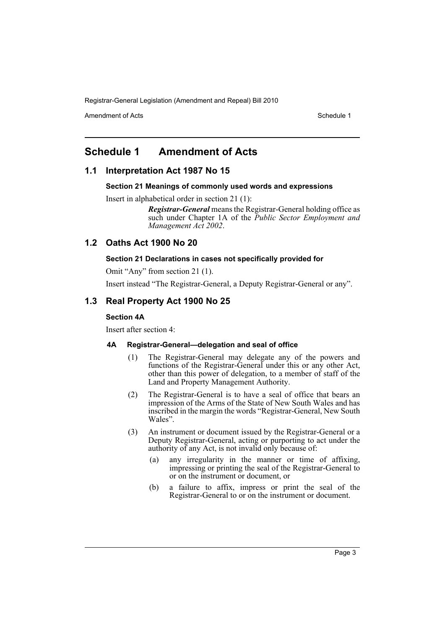Registrar-General Legislation (Amendment and Repeal) Bill 2010

Amendment of Acts **Schedule 1** and the set of Acts Schedule 1

### <span id="page-3-0"></span>**Schedule 1 Amendment of Acts**

#### **1.1 Interpretation Act 1987 No 15**

#### **Section 21 Meanings of commonly used words and expressions**

Insert in alphabetical order in section 21 (1):

*Registrar-General* means the Registrar-General holding office as such under Chapter 1A of the *Public Sector Employment and Management Act 2002*.

#### **1.2 Oaths Act 1900 No 20**

#### **Section 21 Declarations in cases not specifically provided for**

Omit "Any" from section 21 (1).

Insert instead "The Registrar-General, a Deputy Registrar-General or any".

#### **1.3 Real Property Act 1900 No 25**

#### **Section 4A**

Insert after section 4:

#### **4A Registrar-General—delegation and seal of office**

- (1) The Registrar-General may delegate any of the powers and functions of the Registrar-General under this or any other Act, other than this power of delegation, to a member of staff of the Land and Property Management Authority.
- (2) The Registrar-General is to have a seal of office that bears an impression of the Arms of the State of New South Wales and has inscribed in the margin the words "Registrar-General, New South Wales".
- (3) An instrument or document issued by the Registrar-General or a Deputy Registrar-General, acting or purporting to act under the authority of any Act, is not invalid only because of:
	- (a) any irregularity in the manner or time of affixing, impressing or printing the seal of the Registrar-General to or on the instrument or document, or
	- (b) a failure to affix, impress or print the seal of the Registrar-General to or on the instrument or document.